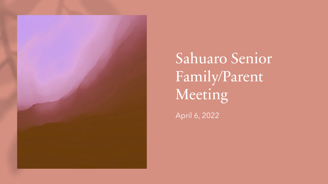

Sahuaro Senior Family/Parent Meeting

April 6, 2022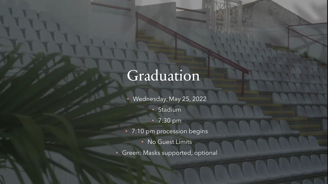#### Graduation

- Wednesday, May 25, 2022
	- Stadium
	- 7:30 pm
- 7:10 pm procession begins
	- No Guest Limits
- Green: Masks supported, optional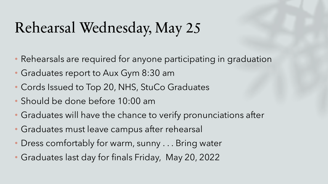### Rehearsal Wednesday, May 25

- Rehearsals are required for anyone participating in graduation
- Graduates report to Aux Gym 8:30 am
- Cords Issued to Top 20, NHS, StuCo Graduates
- Should be done before 10:00 am
- Graduates will have the chance to verify pronunciations after
- Graduates must leave campus after rehearsal
- Dress comfortably for warm, sunny . . . Bring water
- Graduates last day for finals Friday, May 20, 2022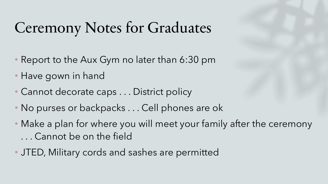#### Ceremony Notes for Graduates

- Report to the Aux Gym no later than 6:30 pm
- Have gown in hand
- Cannot decorate caps . . . District policy
- No purses or backpacks . . . Cell phones are ok
- Make a plan for where you will meet your family after the ceremony . . . Cannot be on the field
- JTED, Military cords and sashes are permitted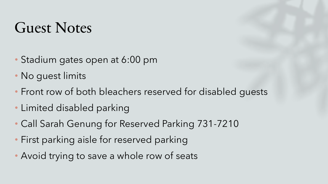#### Guest Notes

- Stadium gates open at 6:00 pm
- No quest limits
- Front row of both bleachers reserved for disabled guests
- Limited disabled parking
- Call Sarah Genung for Reserved Parking 731-7210
- First parking aisle for reserved parking
- Avoid trying to save a whole row of seats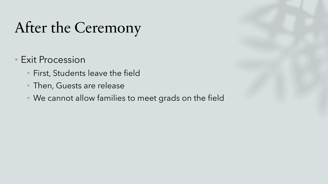#### After the Ceremony

- Exit Procession
	- First, Students leave the field
	- Then, Guests are release
	- We cannot allow families to meet grads on the field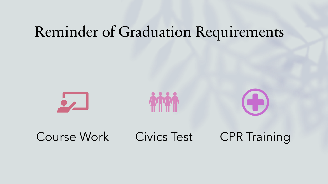#### Reminder of Graduation Requirements



Course Work Civics Test CPR Training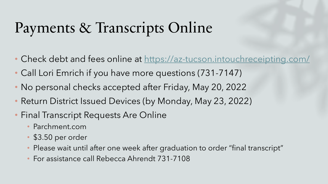## Payments & Transcripts Online

- Check debt and fees online at<https://az-tucson.intouchreceipting.com/>
- Call Lori Emrich if you have more questions (731-7147)
- No personal checks accepted after Friday, May 20, 2022
- Return District Issued Devices (by Monday, May 23, 2022)
- Final Transcript Requests Are Online
	- Parchment.com
	- \$3.50 per order
	- Please wait until after one week after graduation to order "final transcript"
	- For assistance call Rebecca Ahrendt 731-7108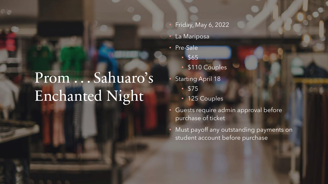### Prom . . . Sahuaro's Enchanted Night

- Friday, May 6, 2022
	- La Mariposa
- Pre-Sale
	- \$65
	- \$110 Couples
	- **Starting April 18** 
		- \$75
		- 125 Couples
- Guests require admin approval before purchase of ticket
- Must payoff any outstanding payments on student account before purchase